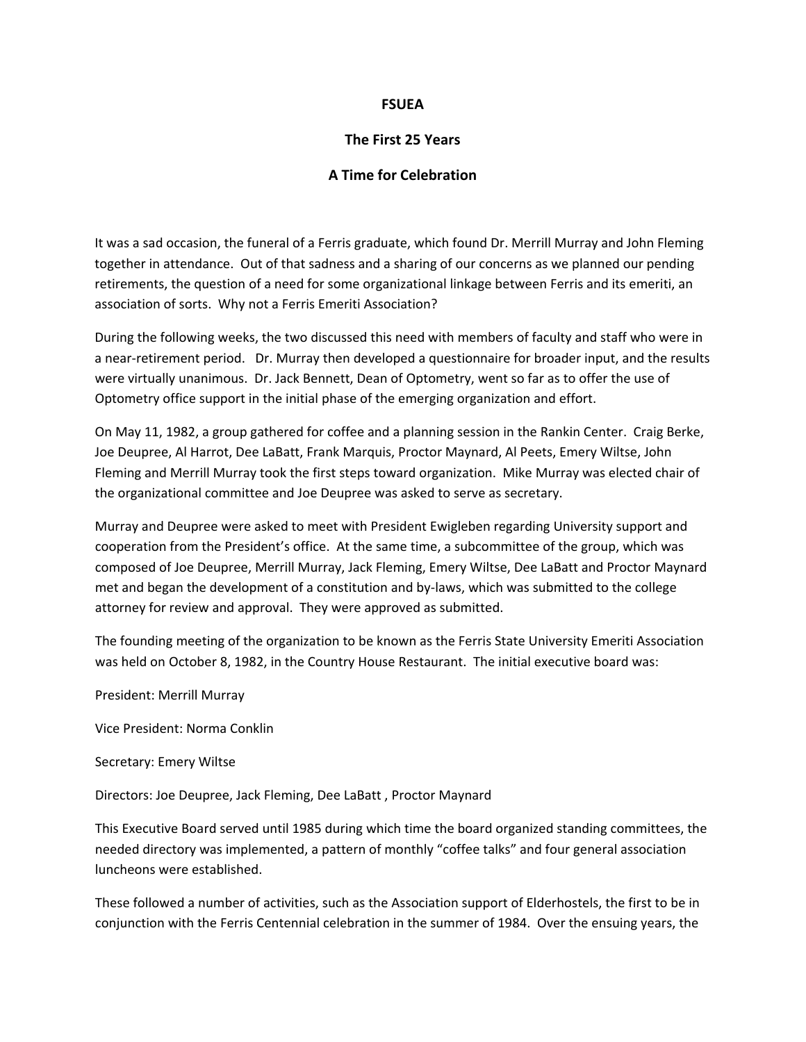## **FSUEA**

## **The First 25 Years**

## **A Time for Celebration**

It was a sad occasion, the funeral of a Ferris graduate, which found Dr. Merrill Murray and John Fleming together in attendance. Out of that sadness and a sharing of our concerns as we planned our pending retirements, the question of a need for some organizational linkage between Ferris and its emeriti, an association of sorts. Why not a Ferris Emeriti Association?

During the following weeks, the two discussed this need with members of faculty and staff who were in a near‐retirement period. Dr. Murray then developed a questionnaire for broader input, and the results were virtually unanimous. Dr. Jack Bennett, Dean of Optometry, went so far as to offer the use of Optometry office support in the initial phase of the emerging organization and effort.

On May 11, 1982, a group gathered for coffee and a planning session in the Rankin Center. Craig Berke, Joe Deupree, Al Harrot, Dee LaBatt, Frank Marquis, Proctor Maynard, Al Peets, Emery Wiltse, John Fleming and Merrill Murray took the first steps toward organization. Mike Murray was elected chair of the organizational committee and Joe Deupree was asked to serve as secretary.

Murray and Deupree were asked to meet with President Ewigleben regarding University support and cooperation from the President's office. At the same time, a subcommittee of the group, which was composed of Joe Deupree, Merrill Murray, Jack Fleming, Emery Wiltse, Dee LaBatt and Proctor Maynard met and began the development of a constitution and by-laws, which was submitted to the college attorney for review and approval. They were approved as submitted.

The founding meeting of the organization to be known as the Ferris State University Emeriti Association was held on October 8, 1982, in the Country House Restaurant. The initial executive board was:

President: Merrill Murray

Vice President: Norma Conklin

Secretary: Emery Wiltse

Directors: Joe Deupree, Jack Fleming, Dee LaBatt , Proctor Maynard

This Executive Board served until 1985 during which time the board organized standing committees, the needed directory was implemented, a pattern of monthly "coffee talks" and four general association luncheons were established.

These followed a number of activities, such as the Association support of Elderhostels, the first to be in conjunction with the Ferris Centennial celebration in the summer of 1984. Over the ensuing years, the